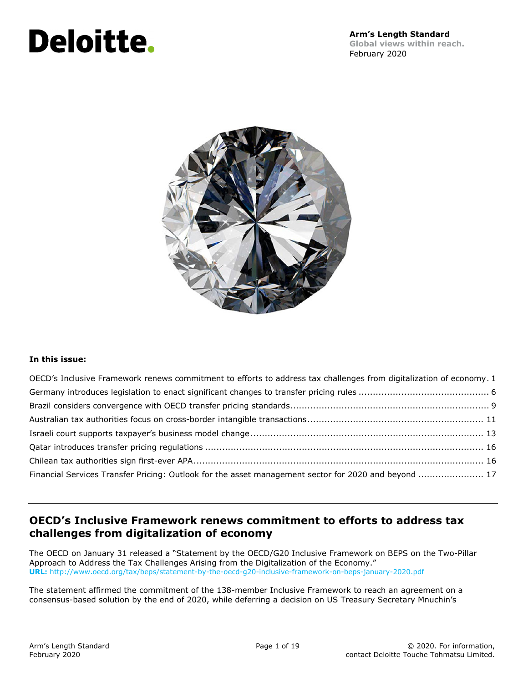# **Deloitte.**



#### **In this issue:**

| OECD's Inclusive Framework renews commitment to efforts to address tax challenges from digitalization of economy. 1 |  |
|---------------------------------------------------------------------------------------------------------------------|--|
|                                                                                                                     |  |
|                                                                                                                     |  |
|                                                                                                                     |  |
|                                                                                                                     |  |
|                                                                                                                     |  |
|                                                                                                                     |  |
| Financial Services Transfer Pricing: Outlook for the asset management sector for 2020 and beyond  17                |  |

# **OECD's Inclusive Framework renews commitment to efforts to address tax challenges from digitalization of economy**

The OECD on January 31 released a "Statement by the OECD/G20 Inclusive Framework on BEPS on the Two-Pillar Approach to Address the Tax Challenges Arising from the Digitalization of the Economy." **URL:** http://www.oecd.org/tax/beps/statement-by-the-oecd-g20-inclusive-framework-on-beps-january-2020.pdf

The statement affirmed the commitment of the 138-member Inclusive Framework to reach an agreement on a consensus-based solution by the end of 2020, while deferring a decision on US Treasury Secretary Mnuchin's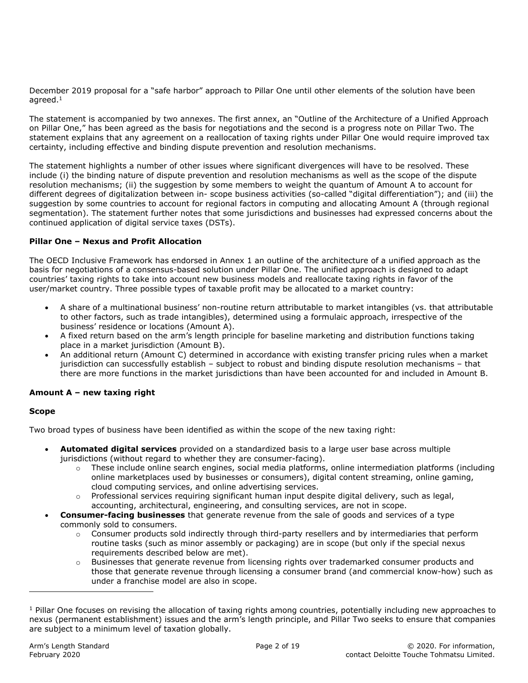December 2019 proposal for a "safe harbor" approach to Pillar One until other elements of the solution have been agreed.<sup>1</sup>

The statement is accompanied by two annexes. The first annex, an "Outline of the Architecture of a Unified Approach on Pillar One," has been agreed as the basis for negotiations and the second is a progress note on Pillar Two. The statement explains that any agreement on a reallocation of taxing rights under Pillar One would require improved tax certainty, including effective and binding dispute prevention and resolution mechanisms.

The statement highlights a number of other issues where significant divergences will have to be resolved. These include (i) the binding nature of dispute prevention and resolution mechanisms as well as the scope of the dispute resolution mechanisms; (ii) the suggestion by some members to weight the quantum of Amount A to account for different degrees of digitalization between in- scope business activities (so-called "digital differentiation"); and (iii) the suggestion by some countries to account for regional factors in computing and allocating Amount A (through regional segmentation). The statement further notes that some jurisdictions and businesses had expressed concerns about the continued application of digital service taxes (DSTs).

## **Pillar One – Nexus and Profit Allocation**

The OECD Inclusive Framework has endorsed in Annex 1 an outline of the architecture of a unified approach as the basis for negotiations of a consensus-based solution under Pillar One. The unified approach is designed to adapt countries' taxing rights to take into account new business models and reallocate taxing rights in favor of the user/market country. Three possible types of taxable profit may be allocated to a market country:

- A share of a multinational business' non-routine return attributable to market intangibles (vs. that attributable to other factors, such as trade intangibles), determined using a formulaic approach, irrespective of the business' residence or locations (Amount A).
- A fixed return based on the arm's length principle for baseline marketing and distribution functions taking place in a market jurisdiction (Amount B).
- An additional return (Amount C) determined in accordance with existing transfer pricing rules when a market jurisdiction can successfully establish – subject to robust and binding dispute resolution mechanisms – that there are more functions in the market jurisdictions than have been accounted for and included in Amount B.

## **Amount A – new taxing right**

#### **Scope**

ı

Two broad types of business have been identified as within the scope of the new taxing right:

- **Automated digital services** provided on a standardized basis to a large user base across multiple jurisdictions (without regard to whether they are consumer-facing).
	- $\circ$  These include online search engines, social media platforms, online intermediation platforms (including online marketplaces used by businesses or consumers), digital content streaming, online gaming, cloud computing services, and online advertising services.
	- $\circ$  Professional services requiring significant human input despite digital delivery, such as legal, accounting, architectural, engineering, and consulting services, are not in scope.
- **Consumer-facing businesses** that generate revenue from the sale of goods and services of a type commonly sold to consumers.
	- o Consumer products sold indirectly through third-party resellers and by intermediaries that perform routine tasks (such as minor assembly or packaging) are in scope (but only if the special nexus requirements described below are met).
	- $\circ$  Businesses that generate revenue from licensing rights over trademarked consumer products and those that generate revenue through licensing a consumer brand (and commercial know-how) such as under a franchise model are also in scope.

 $1$  Pillar One focuses on revising the allocation of taxing rights among countries, potentially including new approaches to nexus (permanent establishment) issues and the arm's length principle, and Pillar Two seeks to ensure that companies are subject to a minimum level of taxation globally.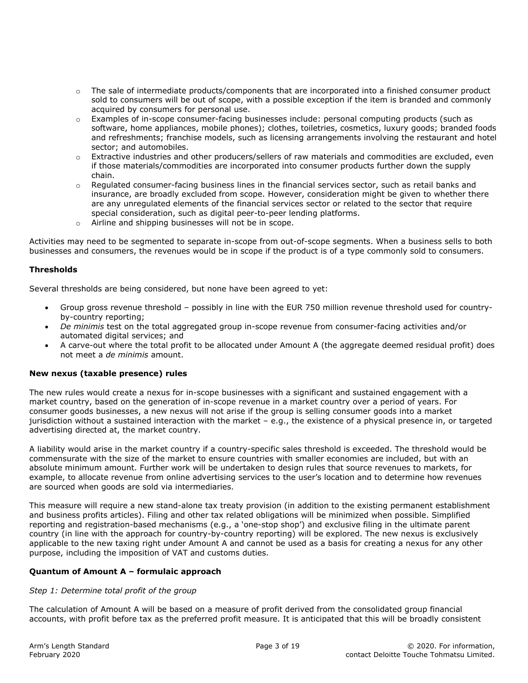- $\circ$  The sale of intermediate products/components that are incorporated into a finished consumer product sold to consumers will be out of scope, with a possible exception if the item is branded and commonly acquired by consumers for personal use.
- o Examples of in-scope consumer-facing businesses include: personal computing products (such as software, home appliances, mobile phones); clothes, toiletries, cosmetics, luxury goods; branded foods and refreshments; franchise models, such as licensing arrangements involving the restaurant and hotel sector; and automobiles.
- $\circ$  Extractive industries and other producers/sellers of raw materials and commodities are excluded, even if those materials/commodities are incorporated into consumer products further down the supply chain.
- $\circ$  Regulated consumer-facing business lines in the financial services sector, such as retail banks and insurance, are broadly excluded from scope. However, consideration might be given to whether there are any unregulated elements of the financial services sector or related to the sector that require special consideration, such as digital peer-to-peer lending platforms.
- o Airline and shipping businesses will not be in scope.

Activities may need to be segmented to separate in-scope from out-of-scope segments. When a business sells to both businesses and consumers, the revenues would be in scope if the product is of a type commonly sold to consumers.

#### **Thresholds**

Several thresholds are being considered, but none have been agreed to yet:

- Group gross revenue threshold possibly in line with the EUR 750 million revenue threshold used for countryby-country reporting;
- *De minimis* test on the total aggregated group in-scope revenue from consumer-facing activities and/or automated digital services; and
- A carve-out where the total profit to be allocated under Amount A (the aggregate deemed residual profit) does not meet a *de minimis* amount.

#### **New nexus (taxable presence) rules**

The new rules would create a nexus for in-scope businesses with a significant and sustained engagement with a market country, based on the generation of in-scope revenue in a market country over a period of years. For consumer goods businesses, a new nexus will not arise if the group is selling consumer goods into a market jurisdiction without a sustained interaction with the market – e.g., the existence of a physical presence in, or targeted advertising directed at, the market country.

A liability would arise in the market country if a country-specific sales threshold is exceeded. The threshold would be commensurate with the size of the market to ensure countries with smaller economies are included, but with an absolute minimum amount. Further work will be undertaken to design rules that source revenues to markets, for example, to allocate revenue from online advertising services to the user's location and to determine how revenues are sourced when goods are sold via intermediaries.

This measure will require a new stand-alone tax treaty provision (in addition to the existing permanent establishment and business profits articles). Filing and other tax related obligations will be minimized when possible. Simplified reporting and registration-based mechanisms (e.g., a 'one-stop shop') and exclusive filing in the ultimate parent country (in line with the approach for country-by-country reporting) will be explored. The new nexus is exclusively applicable to the new taxing right under Amount A and cannot be used as a basis for creating a nexus for any other purpose, including the imposition of VAT and customs duties.

#### **Quantum of Amount A – formulaic approach**

#### *Step 1: Determine total profit of the group*

The calculation of Amount A will be based on a measure of profit derived from the consolidated group financial accounts, with profit before tax as the preferred profit measure. It is anticipated that this will be broadly consistent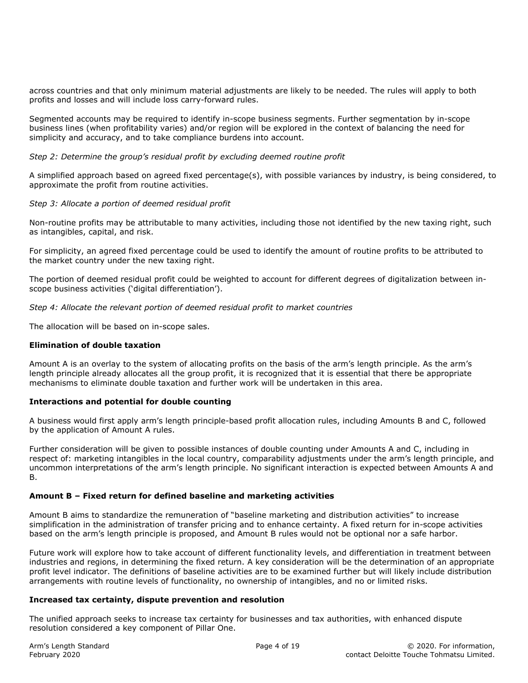across countries and that only minimum material adjustments are likely to be needed. The rules will apply to both profits and losses and will include loss carry-forward rules.

Segmented accounts may be required to identify in-scope business segments. Further segmentation by in-scope business lines (when profitability varies) and/or region will be explored in the context of balancing the need for simplicity and accuracy, and to take compliance burdens into account.

*Step 2: Determine the group's residual profit by excluding deemed routine profit* 

A simplified approach based on agreed fixed percentage(s), with possible variances by industry, is being considered, to approximate the profit from routine activities.

#### *Step 3: Allocate a portion of deemed residual profit*

Non-routine profits may be attributable to many activities, including those not identified by the new taxing right, such as intangibles, capital, and risk.

For simplicity, an agreed fixed percentage could be used to identify the amount of routine profits to be attributed to the market country under the new taxing right.

The portion of deemed residual profit could be weighted to account for different degrees of digitalization between inscope business activities ('digital differentiation').

*Step 4: Allocate the relevant portion of deemed residual profit to market countries* 

The allocation will be based on in-scope sales.

#### **Elimination of double taxation**

Amount A is an overlay to the system of allocating profits on the basis of the arm's length principle. As the arm's length principle already allocates all the group profit, it is recognized that it is essential that there be appropriate mechanisms to eliminate double taxation and further work will be undertaken in this area.

#### **Interactions and potential for double counting**

A business would first apply arm's length principle-based profit allocation rules, including Amounts B and C, followed by the application of Amount A rules.

Further consideration will be given to possible instances of double counting under Amounts A and C, including in respect of: marketing intangibles in the local country, comparability adjustments under the arm's length principle, and uncommon interpretations of the arm's length principle. No significant interaction is expected between Amounts A and B.

#### **Amount B – Fixed return for defined baseline and marketing activities**

Amount B aims to standardize the remuneration of "baseline marketing and distribution activities" to increase simplification in the administration of transfer pricing and to enhance certainty. A fixed return for in-scope activities based on the arm's length principle is proposed, and Amount B rules would not be optional nor a safe harbor.

Future work will explore how to take account of different functionality levels, and differentiation in treatment between industries and regions, in determining the fixed return. A key consideration will be the determination of an appropriate profit level indicator. The definitions of baseline activities are to be examined further but will likely include distribution arrangements with routine levels of functionality, no ownership of intangibles, and no or limited risks.

#### **Increased tax certainty, dispute prevention and resolution**

The unified approach seeks to increase tax certainty for businesses and tax authorities, with enhanced dispute resolution considered a key component of Pillar One.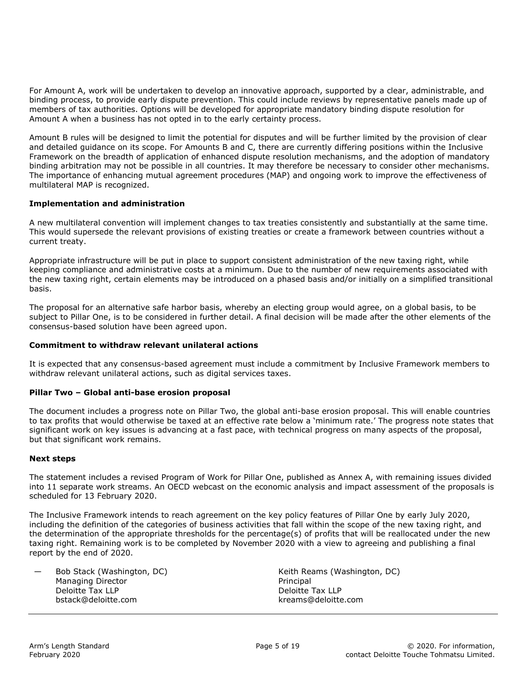For Amount A, work will be undertaken to develop an innovative approach, supported by a clear, administrable, and binding process, to provide early dispute prevention. This could include reviews by representative panels made up of members of tax authorities. Options will be developed for appropriate mandatory binding dispute resolution for Amount A when a business has not opted in to the early certainty process.

Amount B rules will be designed to limit the potential for disputes and will be further limited by the provision of clear and detailed guidance on its scope. For Amounts B and C, there are currently differing positions within the Inclusive Framework on the breadth of application of enhanced dispute resolution mechanisms, and the adoption of mandatory binding arbitration may not be possible in all countries. It may therefore be necessary to consider other mechanisms. The importance of enhancing mutual agreement procedures (MAP) and ongoing work to improve the effectiveness of multilateral MAP is recognized.

#### **Implementation and administration**

A new multilateral convention will implement changes to tax treaties consistently and substantially at the same time. This would supersede the relevant provisions of existing treaties or create a framework between countries without a current treaty.

Appropriate infrastructure will be put in place to support consistent administration of the new taxing right, while keeping compliance and administrative costs at a minimum. Due to the number of new requirements associated with the new taxing right, certain elements may be introduced on a phased basis and/or initially on a simplified transitional basis.

The proposal for an alternative safe harbor basis, whereby an electing group would agree, on a global basis, to be subject to Pillar One, is to be considered in further detail. A final decision will be made after the other elements of the consensus-based solution have been agreed upon.

#### **Commitment to withdraw relevant unilateral actions**

It is expected that any consensus-based agreement must include a commitment by Inclusive Framework members to withdraw relevant unilateral actions, such as digital services taxes.

#### **Pillar Two – Global anti-base erosion proposal**

The document includes a progress note on Pillar Two, the global anti-base erosion proposal. This will enable countries to tax profits that would otherwise be taxed at an effective rate below a 'minimum rate.' The progress note states that significant work on key issues is advancing at a fast pace, with technical progress on many aspects of the proposal, but that significant work remains.

#### **Next steps**

The statement includes a revised Program of Work for Pillar One, published as Annex A, with remaining issues divided into 11 separate work streams. An OECD webcast on the economic analysis and impact assessment of the proposals is scheduled for 13 February 2020.

The Inclusive Framework intends to reach agreement on the key policy features of Pillar One by early July 2020, including the definition of the categories of business activities that fall within the scope of the new taxing right, and the determination of the appropriate thresholds for the percentage(s) of profits that will be reallocated under the new taxing right. Remaining work is to be completed by November 2020 with a view to agreeing and publishing a final report by the end of 2020.

| Bob Stack (Washington, DC)<br>Managing Director | Keith Reams (Washington, DC)<br>Principal |
|-------------------------------------------------|-------------------------------------------|
| Deloitte Tax LLP                                | Deloitte Tax LLP                          |
| bstack@deloitte.com                             | kreams@deloitte.com                       |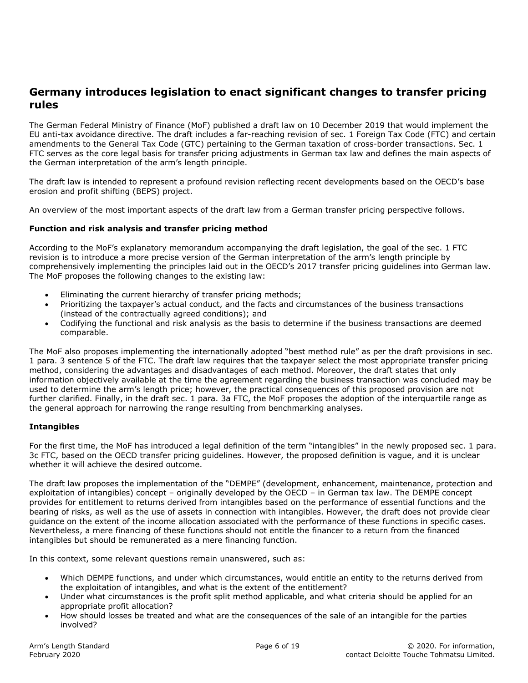## **Germany introduces legislation to enact significant changes to transfer pricing rules**

The German Federal Ministry of Finance (MoF) published a draft law on 10 December 2019 that would implement the EU anti-tax avoidance directive. The draft includes a far-reaching revision of sec. 1 Foreign Tax Code (FTC) and certain amendments to the General Tax Code (GTC) pertaining to the German taxation of cross-border transactions. Sec. 1 FTC serves as the core legal basis for transfer pricing adjustments in German tax law and defines the main aspects of the German interpretation of the arm's length principle.

The draft law is intended to represent a profound revision reflecting recent developments based on the OECD's base erosion and profit shifting (BEPS) project.

An overview of the most important aspects of the draft law from a German transfer pricing perspective follows.

#### **Function and risk analysis and transfer pricing method**

According to the MoF's explanatory memorandum accompanying the draft legislation, the goal of the sec. 1 FTC revision is to introduce a more precise version of the German interpretation of the arm's length principle by comprehensively implementing the principles laid out in the OECD's 2017 transfer pricing guidelines into German law. The MoF proposes the following changes to the existing law:

- Eliminating the current hierarchy of transfer pricing methods;
- Prioritizing the taxpayer's actual conduct, and the facts and circumstances of the business transactions (instead of the contractually agreed conditions); and
- Codifying the functional and risk analysis as the basis to determine if the business transactions are deemed comparable.

The MoF also proposes implementing the internationally adopted "best method rule" as per the draft provisions in sec. 1 para. 3 sentence 5 of the FTC. The draft law requires that the taxpayer select the most appropriate transfer pricing method, considering the advantages and disadvantages of each method. Moreover, the draft states that only information objectively available at the time the agreement regarding the business transaction was concluded may be used to determine the arm's length price; however, the practical consequences of this proposed provision are not further clarified. Finally, in the draft sec. 1 para. 3a FTC, the MoF proposes the adoption of the interquartile range as the general approach for narrowing the range resulting from benchmarking analyses.

#### **Intangibles**

For the first time, the MoF has introduced a legal definition of the term "intangibles" in the newly proposed sec. 1 para. 3c FTC, based on the OECD transfer pricing guidelines. However, the proposed definition is vague, and it is unclear whether it will achieve the desired outcome.

The draft law proposes the implementation of the "DEMPE" (development, enhancement, maintenance, protection and exploitation of intangibles) concept – originally developed by the OECD – in German tax law. The DEMPE concept provides for entitlement to returns derived from intangibles based on the performance of essential functions and the bearing of risks, as well as the use of assets in connection with intangibles. However, the draft does not provide clear guidance on the extent of the income allocation associated with the performance of these functions in specific cases. Nevertheless, a mere financing of these functions should not entitle the financer to a return from the financed intangibles but should be remunerated as a mere financing function.

In this context, some relevant questions remain unanswered, such as:

- Which DEMPE functions, and under which circumstances, would entitle an entity to the returns derived from the exploitation of intangibles, and what is the extent of the entitlement?
- Under what circumstances is the profit split method applicable, and what criteria should be applied for an appropriate profit allocation?
- How should losses be treated and what are the consequences of the sale of an intangible for the parties involved?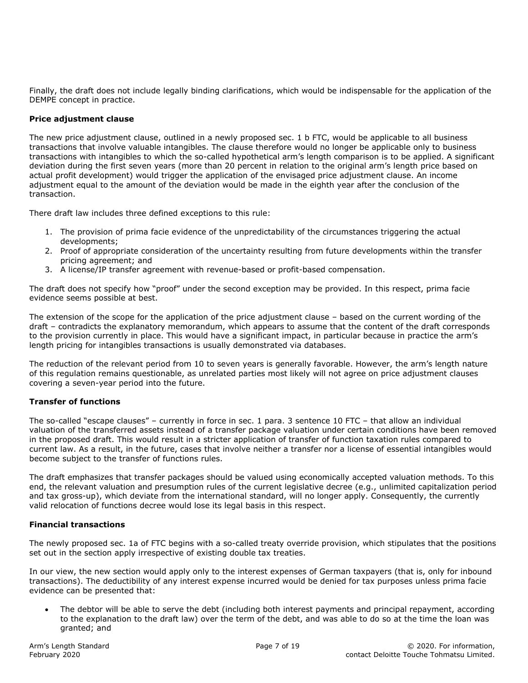Finally, the draft does not include legally binding clarifications, which would be indispensable for the application of the DEMPE concept in practice.

#### **Price adjustment clause**

The new price adjustment clause, outlined in a newly proposed sec. 1 b FTC, would be applicable to all business transactions that involve valuable intangibles. The clause therefore would no longer be applicable only to business transactions with intangibles to which the so-called hypothetical arm's length comparison is to be applied. A significant deviation during the first seven years (more than 20 percent in relation to the original arm's length price based on actual profit development) would trigger the application of the envisaged price adjustment clause. An income adjustment equal to the amount of the deviation would be made in the eighth year after the conclusion of the transaction.

There draft law includes three defined exceptions to this rule:

- 1. The provision of prima facie evidence of the unpredictability of the circumstances triggering the actual developments;
- 2. Proof of appropriate consideration of the uncertainty resulting from future developments within the transfer pricing agreement; and
- 3. A license/IP transfer agreement with revenue-based or profit-based compensation.

The draft does not specify how "proof" under the second exception may be provided. In this respect, prima facie evidence seems possible at best.

The extension of the scope for the application of the price adjustment clause – based on the current wording of the draft – contradicts the explanatory memorandum, which appears to assume that the content of the draft corresponds to the provision currently in place. This would have a significant impact, in particular because in practice the arm's length pricing for intangibles transactions is usually demonstrated via databases.

The reduction of the relevant period from 10 to seven years is generally favorable. However, the arm's length nature of this regulation remains questionable, as unrelated parties most likely will not agree on price adjustment clauses covering a seven-year period into the future.

#### **Transfer of functions**

The so-called "escape clauses" – currently in force in sec. 1 para. 3 sentence 10 FTC – that allow an individual valuation of the transferred assets instead of a transfer package valuation under certain conditions have been removed in the proposed draft. This would result in a stricter application of transfer of function taxation rules compared to current law. As a result, in the future, cases that involve neither a transfer nor a license of essential intangibles would become subject to the transfer of functions rules.

The draft emphasizes that transfer packages should be valued using economically accepted valuation methods. To this end, the relevant valuation and presumption rules of the current legislative decree (e.g., unlimited capitalization period and tax gross-up), which deviate from the international standard, will no longer apply. Consequently, the currently valid relocation of functions decree would lose its legal basis in this respect.

#### **Financial transactions**

The newly proposed sec. 1a of FTC begins with a so-called treaty override provision, which stipulates that the positions set out in the section apply irrespective of existing double tax treaties.

In our view, the new section would apply only to the interest expenses of German taxpayers (that is, only for inbound transactions). The deductibility of any interest expense incurred would be denied for tax purposes unless prima facie evidence can be presented that:

 The debtor will be able to serve the debt (including both interest payments and principal repayment, according to the explanation to the draft law) over the term of the debt, and was able to do so at the time the loan was granted; and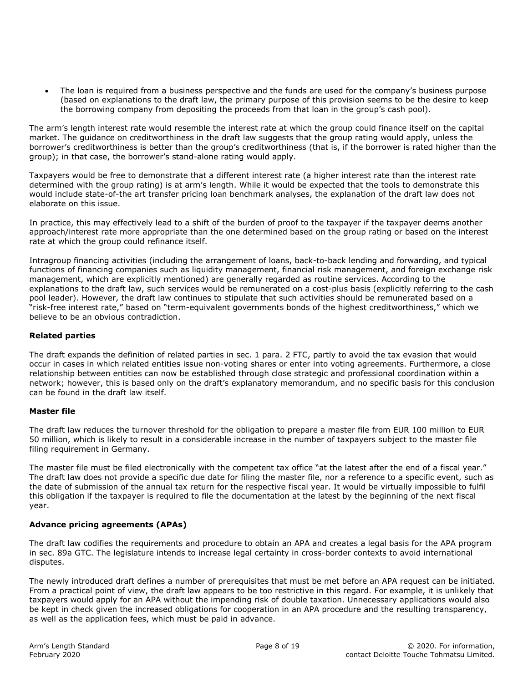The loan is required from a business perspective and the funds are used for the company's business purpose (based on explanations to the draft law, the primary purpose of this provision seems to be the desire to keep the borrowing company from depositing the proceeds from that loan in the group's cash pool).

The arm's length interest rate would resemble the interest rate at which the group could finance itself on the capital market. The guidance on creditworthiness in the draft law suggests that the group rating would apply, unless the borrower's creditworthiness is better than the group's creditworthiness (that is, if the borrower is rated higher than the group); in that case, the borrower's stand-alone rating would apply.

Taxpayers would be free to demonstrate that a different interest rate (a higher interest rate than the interest rate determined with the group rating) is at arm's length. While it would be expected that the tools to demonstrate this would include state-of-the art transfer pricing loan benchmark analyses, the explanation of the draft law does not elaborate on this issue.

In practice, this may effectively lead to a shift of the burden of proof to the taxpayer if the taxpayer deems another approach/interest rate more appropriate than the one determined based on the group rating or based on the interest rate at which the group could refinance itself.

Intragroup financing activities (including the arrangement of loans, back-to-back lending and forwarding, and typical functions of financing companies such as liquidity management, financial risk management, and foreign exchange risk management, which are explicitly mentioned) are generally regarded as routine services. According to the explanations to the draft law, such services would be remunerated on a cost-plus basis (explicitly referring to the cash pool leader). However, the draft law continues to stipulate that such activities should be remunerated based on a "risk-free interest rate," based on "term-equivalent governments bonds of the highest creditworthiness," which we believe to be an obvious contradiction.

## **Related parties**

The draft expands the definition of related parties in sec. 1 para. 2 FTC, partly to avoid the tax evasion that would occur in cases in which related entities issue non-voting shares or enter into voting agreements. Furthermore, a close relationship between entities can now be established through close strategic and professional coordination within a network; however, this is based only on the draft's explanatory memorandum, and no specific basis for this conclusion can be found in the draft law itself.

#### **Master file**

The draft law reduces the turnover threshold for the obligation to prepare a master file from EUR 100 million to EUR 50 million, which is likely to result in a considerable increase in the number of taxpayers subject to the master file filing requirement in Germany.

The master file must be filed electronically with the competent tax office "at the latest after the end of a fiscal year." The draft law does not provide a specific due date for filing the master file, nor a reference to a specific event, such as the date of submission of the annual tax return for the respective fiscal year. It would be virtually impossible to fulfil this obligation if the taxpayer is required to file the documentation at the latest by the beginning of the next fiscal year.

## **Advance pricing agreements (APAs)**

The draft law codifies the requirements and procedure to obtain an APA and creates a legal basis for the APA program in sec. 89a GTC. The legislature intends to increase legal certainty in cross-border contexts to avoid international disputes.

The newly introduced draft defines a number of prerequisites that must be met before an APA request can be initiated. From a practical point of view, the draft law appears to be too restrictive in this regard. For example, it is unlikely that taxpayers would apply for an APA without the impending risk of double taxation. Unnecessary applications would also be kept in check given the increased obligations for cooperation in an APA procedure and the resulting transparency, as well as the application fees, which must be paid in advance.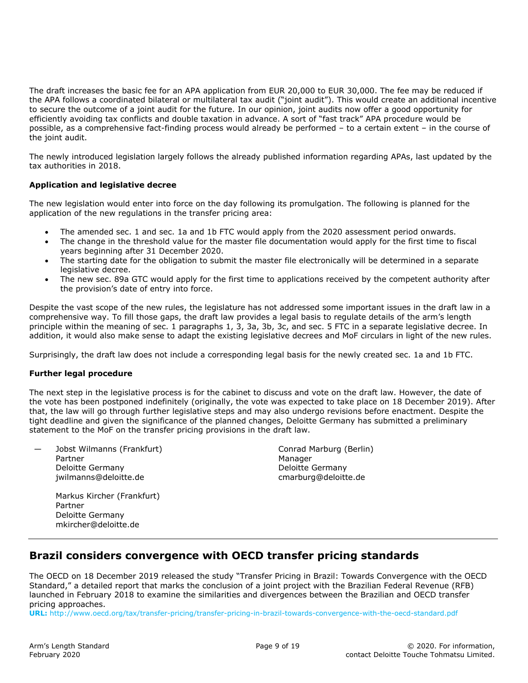The draft increases the basic fee for an APA application from EUR 20,000 to EUR 30,000. The fee may be reduced if the APA follows a coordinated bilateral or multilateral tax audit ("joint audit"). This would create an additional incentive to secure the outcome of a joint audit for the future. In our opinion, joint audits now offer a good opportunity for efficiently avoiding tax conflicts and double taxation in advance. A sort of "fast track" APA procedure would be possible, as a comprehensive fact-finding process would already be performed – to a certain extent – in the course of the joint audit.

The newly introduced legislation largely follows the already published information regarding APAs, last updated by the tax authorities in 2018.

## **Application and legislative decree**

The new legislation would enter into force on the day following its promulgation. The following is planned for the application of the new regulations in the transfer pricing area:

- The amended sec. 1 and sec. 1a and 1b FTC would apply from the 2020 assessment period onwards.
- The change in the threshold value for the master file documentation would apply for the first time to fiscal years beginning after 31 December 2020.
- The starting date for the obligation to submit the master file electronically will be determined in a separate legislative decree.
- The new sec. 89a GTC would apply for the first time to applications received by the competent authority after the provision's date of entry into force.

Despite the vast scope of the new rules, the legislature has not addressed some important issues in the draft law in a comprehensive way. To fill those gaps, the draft law provides a legal basis to regulate details of the arm's length principle within the meaning of sec. 1 paragraphs 1, 3, 3a, 3b, 3c, and sec. 5 FTC in a separate legislative decree. In addition, it would also make sense to adapt the existing legislative decrees and MoF circulars in light of the new rules.

Surprisingly, the draft law does not include a corresponding legal basis for the newly created sec. 1a and 1b FTC.

#### **Further legal procedure**

The next step in the legislative process is for the cabinet to discuss and vote on the draft law. However, the date of the vote has been postponed indefinitely (originally, the vote was expected to take place on 18 December 2019). After that, the law will go through further legislative steps and may also undergo revisions before enactment. Despite the tight deadline and given the significance of the planned changes, Deloitte Germany has submitted a preliminary statement to the MoF on the transfer pricing provisions in the draft law.

Jobst Wilmanns (Frankfurt) Partner Deloitte Germany jwilmanns@deloitte.de

Conrad Marburg (Berlin) Manager Deloitte Germany cmarburg@deloitte.de

 Markus Kircher (Frankfurt) Partner Deloitte Germany mkircher@deloitte.de

## **Brazil considers convergence with OECD transfer pricing standards**

The OECD on 18 December 2019 released the study "Transfer Pricing in Brazil: Towards Convergence with the OECD Standard," a detailed report that marks the conclusion of a joint project with the Brazilian Federal Revenue (RFB) launched in February 2018 to examine the similarities and divergences between the Brazilian and OECD transfer pricing approaches.

**URL:** http://www.oecd.org/tax/transfer-pricing/transfer-pricing-in-brazil-towards-convergence-with-the-oecd-standard.pdf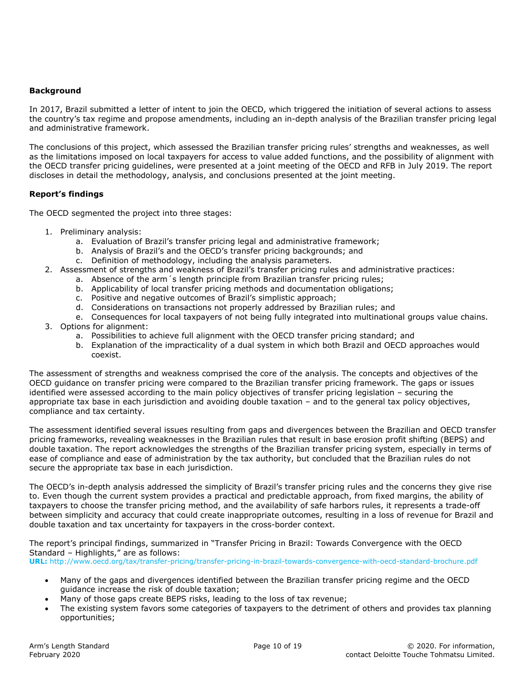#### **Background**

In 2017, Brazil submitted a letter of intent to join the OECD, which triggered the initiation of several actions to assess the country's tax regime and propose amendments, including an in-depth analysis of the Brazilian transfer pricing legal and administrative framework.

The conclusions of this project, which assessed the Brazilian transfer pricing rules' strengths and weaknesses, as well as the limitations imposed on local taxpayers for access to value added functions, and the possibility of alignment with the OECD transfer pricing guidelines, were presented at a joint meeting of the OECD and RFB in July 2019. The report discloses in detail the methodology, analysis, and conclusions presented at the joint meeting.

## **Report's findings**

The OECD segmented the project into three stages:

- 1. Preliminary analysis:
	- a. Evaluation of Brazil's transfer pricing legal and administrative framework;
	- b. Analysis of Brazil's and the OECD's transfer pricing backgrounds; and
	- c. Definition of methodology, including the analysis parameters.
- 2. Assessment of strengths and weakness of Brazil's transfer pricing rules and administrative practices:
	- a. Absence of the arm´s length principle from Brazilian transfer pricing rules;
	- b. Applicability of local transfer pricing methods and documentation obligations;
	- c. Positive and negative outcomes of Brazil's simplistic approach;
	- d. Considerations on transactions not properly addressed by Brazilian rules; and
- e. Consequences for local taxpayers of not being fully integrated into multinational groups value chains. 3. Options for alignment:
	- a. Possibilities to achieve full alignment with the OECD transfer pricing standard; and
	- b. Explanation of the impracticality of a dual system in which both Brazil and OECD approaches would coexist.

The assessment of strengths and weakness comprised the core of the analysis. The concepts and objectives of the OECD guidance on transfer pricing were compared to the Brazilian transfer pricing framework. The gaps or issues identified were assessed according to the main policy objectives of transfer pricing legislation – securing the appropriate tax base in each jurisdiction and avoiding double taxation – and to the general tax policy objectives, compliance and tax certainty.

The assessment identified several issues resulting from gaps and divergences between the Brazilian and OECD transfer pricing frameworks, revealing weaknesses in the Brazilian rules that result in base erosion profit shifting (BEPS) and double taxation. The report acknowledges the strengths of the Brazilian transfer pricing system, especially in terms of ease of compliance and ease of administration by the tax authority, but concluded that the Brazilian rules do not secure the appropriate tax base in each jurisdiction.

The OECD's in-depth analysis addressed the simplicity of Brazil's transfer pricing rules and the concerns they give rise to. Even though the current system provides a practical and predictable approach, from fixed margins, the ability of taxpayers to choose the transfer pricing method, and the availability of safe harbors rules, it represents a trade-off between simplicity and accuracy that could create inappropriate outcomes, resulting in a loss of revenue for Brazil and double taxation and tax uncertainty for taxpayers in the cross-border context.

The report's principal findings, summarized in "Transfer Pricing in Brazil: Towards Convergence with the OECD Standard – Highlights," are as follows: **URL:** http://www.oecd.org/tax/transfer-pricing/transfer-pricing-in-brazil-towards-convergence-with-oecd-standard-brochure.pdf

- Many of the gaps and divergences identified between the Brazilian transfer pricing regime and the OECD guidance increase the risk of double taxation;
- Many of those gaps create BEPS risks, leading to the loss of tax revenue;
- The existing system favors some categories of taxpayers to the detriment of others and provides tax planning opportunities;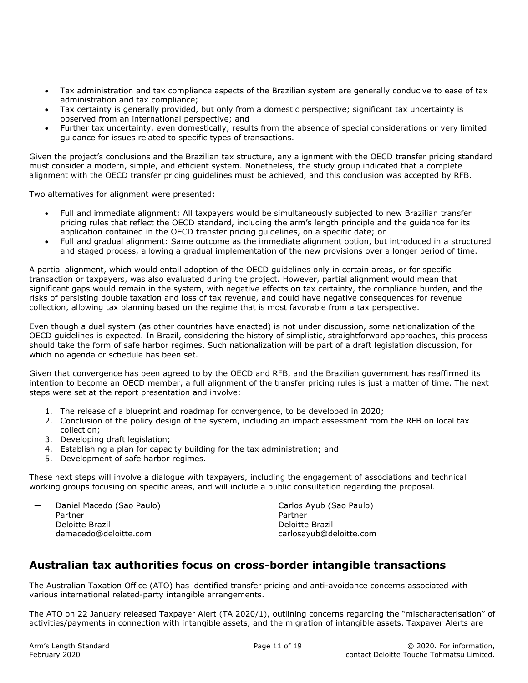- Tax administration and tax compliance aspects of the Brazilian system are generally conducive to ease of tax administration and tax compliance;
- Tax certainty is generally provided, but only from a domestic perspective; significant tax uncertainty is observed from an international perspective; and
- Further tax uncertainty, even domestically, results from the absence of special considerations or very limited guidance for issues related to specific types of transactions.

Given the project's conclusions and the Brazilian tax structure, any alignment with the OECD transfer pricing standard must consider a modern, simple, and efficient system. Nonetheless, the study group indicated that a complete alignment with the OECD transfer pricing guidelines must be achieved, and this conclusion was accepted by RFB.

Two alternatives for alignment were presented:

- Full and immediate alignment: All taxpayers would be simultaneously subjected to new Brazilian transfer pricing rules that reflect the OECD standard, including the arm's length principle and the guidance for its application contained in the OECD transfer pricing guidelines, on a specific date; or
- Full and gradual alignment: Same outcome as the immediate alignment option, but introduced in a structured and staged process, allowing a gradual implementation of the new provisions over a longer period of time.

A partial alignment, which would entail adoption of the OECD guidelines only in certain areas, or for specific transaction or taxpayers, was also evaluated during the project. However, partial alignment would mean that significant gaps would remain in the system, with negative effects on tax certainty, the compliance burden, and the risks of persisting double taxation and loss of tax revenue, and could have negative consequences for revenue collection, allowing tax planning based on the regime that is most favorable from a tax perspective.

Even though a dual system (as other countries have enacted) is not under discussion, some nationalization of the OECD guidelines is expected. In Brazil, considering the history of simplistic, straightforward approaches, this process should take the form of safe harbor regimes. Such nationalization will be part of a draft legislation discussion, for which no agenda or schedule has been set.

Given that convergence has been agreed to by the OECD and RFB, and the Brazilian government has reaffirmed its intention to become an OECD member, a full alignment of the transfer pricing rules is just a matter of time. The next steps were set at the report presentation and involve:

- 1. The release of a blueprint and roadmap for convergence, to be developed in 2020;
- 2. Conclusion of the policy design of the system, including an impact assessment from the RFB on local tax collection;
- 3. Developing draft legislation;
- 4. Establishing a plan for capacity building for the tax administration; and
- 5. Development of safe harbor regimes.

These next steps will involve a dialogue with taxpayers, including the engagement of associations and technical working groups focusing on specific areas, and will include a public consultation regarding the proposal.

| — | Daniel Macedo (Sao Paulo)<br>Partner<br>Deloitte Brazil | Carlos Ayub (Sao Paulo)<br>Partner<br>Deloitte Brazil |
|---|---------------------------------------------------------|-------------------------------------------------------|
|   | damacedo@deloitte.com                                   | carlosayub@deloitte.com                               |

# **Australian tax authorities focus on cross-border intangible transactions**

The Australian Taxation Office (ATO) has identified transfer pricing and anti-avoidance concerns associated with various international related-party intangible arrangements.

The ATO on 22 January released Taxpayer Alert (TA 2020/1), outlining concerns regarding the "mischaracterisation" of activities/payments in connection with intangible assets, and the migration of intangible assets. Taxpayer Alerts are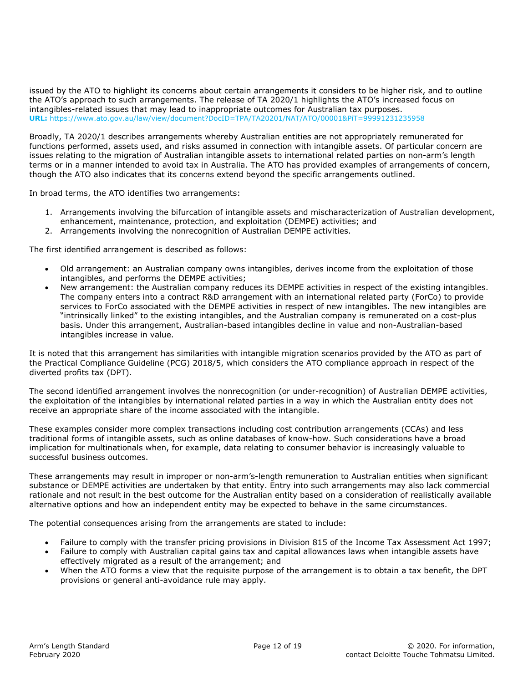issued by the ATO to highlight its concerns about certain arrangements it considers to be higher risk, and to outline the ATO's approach to such arrangements. The release of TA 2020/1 highlights the ATO's increased focus on intangibles-related issues that may lead to inappropriate outcomes for Australian tax purposes. **URL:** https://www.ato.gov.au/law/view/document?DocID=TPA/TA20201/NAT/ATO/00001&PiT=99991231235958

Broadly, TA 2020/1 describes arrangements whereby Australian entities are not appropriately remunerated for functions performed, assets used, and risks assumed in connection with intangible assets. Of particular concern are issues relating to the migration of Australian intangible assets to international related parties on non-arm's length terms or in a manner intended to avoid tax in Australia. The ATO has provided examples of arrangements of concern, though the ATO also indicates that its concerns extend beyond the specific arrangements outlined.

In broad terms, the ATO identifies two arrangements:

- 1. Arrangements involving the bifurcation of intangible assets and mischaracterization of Australian development, enhancement, maintenance, protection, and exploitation (DEMPE) activities; and
- 2. Arrangements involving the nonrecognition of Australian DEMPE activities.

The first identified arrangement is described as follows:

- Old arrangement: an Australian company owns intangibles, derives income from the exploitation of those intangibles, and performs the DEMPE activities;
- New arrangement: the Australian company reduces its DEMPE activities in respect of the existing intangibles. The company enters into a contract R&D arrangement with an international related party (ForCo) to provide services to ForCo associated with the DEMPE activities in respect of new intangibles. The new intangibles are "intrinsically linked" to the existing intangibles, and the Australian company is remunerated on a cost-plus basis. Under this arrangement, Australian-based intangibles decline in value and non-Australian-based intangibles increase in value.

It is noted that this arrangement has similarities with intangible migration scenarios provided by the ATO as part of the Practical Compliance Guideline (PCG) 2018/5, which considers the ATO compliance approach in respect of the diverted profits tax (DPT).

The second identified arrangement involves the nonrecognition (or under-recognition) of Australian DEMPE activities, the exploitation of the intangibles by international related parties in a way in which the Australian entity does not receive an appropriate share of the income associated with the intangible.

These examples consider more complex transactions including cost contribution arrangements (CCAs) and less traditional forms of intangible assets, such as online databases of know-how. Such considerations have a broad implication for multinationals when, for example, data relating to consumer behavior is increasingly valuable to successful business outcomes.

These arrangements may result in improper or non-arm's-length remuneration to Australian entities when significant substance or DEMPE activities are undertaken by that entity. Entry into such arrangements may also lack commercial rationale and not result in the best outcome for the Australian entity based on a consideration of realistically available alternative options and how an independent entity may be expected to behave in the same circumstances.

The potential consequences arising from the arrangements are stated to include:

- Failure to comply with the transfer pricing provisions in Division 815 of the Income Tax Assessment Act 1997;
- Failure to comply with Australian capital gains tax and capital allowances laws when intangible assets have effectively migrated as a result of the arrangement; and
- When the ATO forms a view that the requisite purpose of the arrangement is to obtain a tax benefit, the DPT provisions or general anti-avoidance rule may apply.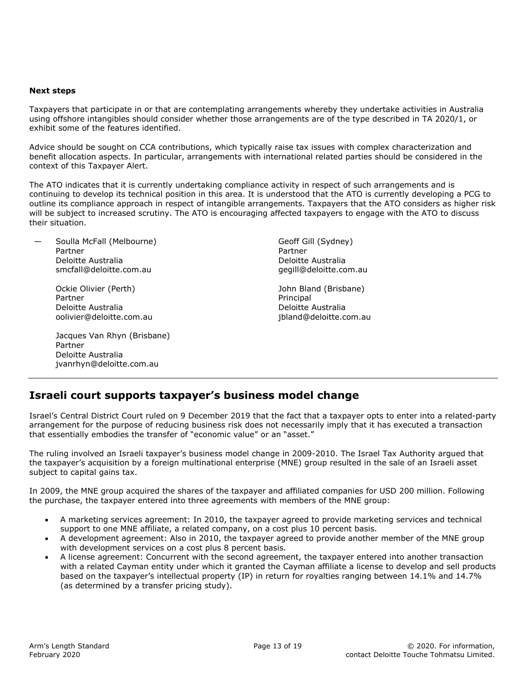#### **Next steps**

Taxpayers that participate in or that are contemplating arrangements whereby they undertake activities in Australia using offshore intangibles should consider whether those arrangements are of the type described in TA 2020/1, or exhibit some of the features identified.

Advice should be sought on CCA contributions, which typically raise tax issues with complex characterization and benefit allocation aspects. In particular, arrangements with international related parties should be considered in the context of this Taxpayer Alert.

The ATO indicates that it is currently undertaking compliance activity in respect of such arrangements and is continuing to develop its technical position in this area. It is understood that the ATO is currently developing a PCG to outline its compliance approach in respect of intangible arrangements. Taxpayers that the ATO considers as higher risk will be subject to increased scrutiny. The ATO is encouraging affected taxpayers to engage with the ATO to discuss their situation.

Soulla McFall (Melbourne) Partner Deloitte Australia smcfall@deloitte.com.au

> Ockie Olivier (Perth) Partner Deloitte Australia oolivier@deloitte.com.au

 Jacques Van Rhyn (Brisbane) Partner Deloitte Australia jvanrhyn@deloitte.com.au

Geoff Gill (Sydney) Partner Deloitte Australia gegill@deloitte.com.au

John Bland (Brisbane) Principal Deloitte Australia jbland@deloitte.com.au

## **Israeli court supports taxpayer's business model change**

Israel's Central District Court ruled on 9 December 2019 that the fact that a taxpayer opts to enter into a related-party arrangement for the purpose of reducing business risk does not necessarily imply that it has executed a transaction that essentially embodies the transfer of "economic value" or an "asset."

The ruling involved an Israeli taxpayer's business model change in 2009-2010. The Israel Tax Authority argued that the taxpayer's acquisition by a foreign multinational enterprise (MNE) group resulted in the sale of an Israeli asset subject to capital gains tax.

In 2009, the MNE group acquired the shares of the taxpayer and affiliated companies for USD 200 million. Following the purchase, the taxpayer entered into three agreements with members of the MNE group:

- A marketing services agreement: In 2010, the taxpayer agreed to provide marketing services and technical support to one MNE affiliate, a related company, on a cost plus 10 percent basis.
- A development agreement: Also in 2010, the taxpayer agreed to provide another member of the MNE group with development services on a cost plus 8 percent basis.
- A license agreement: Concurrent with the second agreement, the taxpayer entered into another transaction with a related Cayman entity under which it granted the Cayman affiliate a license to develop and sell products based on the taxpayer's intellectual property (IP) in return for royalties ranging between 14.1% and 14.7% (as determined by a transfer pricing study).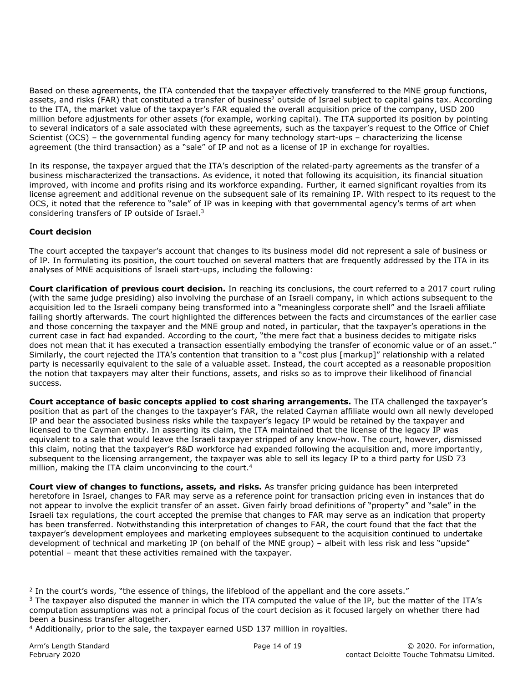Based on these agreements, the ITA contended that the taxpayer effectively transferred to the MNE group functions, assets, and risks (FAR) that constituted a transfer of business<sup>2</sup> outside of Israel subject to capital gains tax. According to the ITA, the market value of the taxpayer's FAR equaled the overall acquisition price of the company, USD 200 million before adjustments for other assets (for example, working capital). The ITA supported its position by pointing to several indicators of a sale associated with these agreements, such as the taxpayer's request to the Office of Chief Scientist (OCS) – the governmental funding agency for many technology start-ups – characterizing the license agreement (the third transaction) as a "sale" of IP and not as a license of IP in exchange for royalties.

In its response, the taxpayer argued that the ITA's description of the related-party agreements as the transfer of a business mischaracterized the transactions. As evidence, it noted that following its acquisition, its financial situation improved, with income and profits rising and its workforce expanding. Further, it earned significant royalties from its license agreement and additional revenue on the subsequent sale of its remaining IP. With respect to its request to the OCS, it noted that the reference to "sale" of IP was in keeping with that governmental agency's terms of art when considering transfers of IP outside of Israel.3

## **Court decision**

The court accepted the taxpayer's account that changes to its business model did not represent a sale of business or of IP. In formulating its position, the court touched on several matters that are frequently addressed by the ITA in its analyses of MNE acquisitions of Israeli start-ups, including the following:

**Court clarification of previous court decision.** In reaching its conclusions, the court referred to a 2017 court ruling (with the same judge presiding) also involving the purchase of an Israeli company, in which actions subsequent to the acquisition led to the Israeli company being transformed into a "meaningless corporate shell" and the Israeli affiliate failing shortly afterwards. The court highlighted the differences between the facts and circumstances of the earlier case and those concerning the taxpayer and the MNE group and noted, in particular, that the taxpayer's operations in the current case in fact had expanded. According to the court, "the mere fact that a business decides to mitigate risks does not mean that it has executed a transaction essentially embodying the transfer of economic value or of an asset." Similarly, the court rejected the ITA's contention that transition to a "cost plus [markup]" relationship with a related party is necessarily equivalent to the sale of a valuable asset. Instead, the court accepted as a reasonable proposition the notion that taxpayers may alter their functions, assets, and risks so as to improve their likelihood of financial success.

**Court acceptance of basic concepts applied to cost sharing arrangements.** The ITA challenged the taxpayer's position that as part of the changes to the taxpayer's FAR, the related Cayman affiliate would own all newly developed IP and bear the associated business risks while the taxpayer's legacy IP would be retained by the taxpayer and licensed to the Cayman entity. In asserting its claim, the ITA maintained that the license of the legacy IP was equivalent to a sale that would leave the Israeli taxpayer stripped of any know-how. The court, however, dismissed this claim, noting that the taxpayer's R&D workforce had expanded following the acquisition and, more importantly, subsequent to the licensing arrangement, the taxpayer was able to sell its legacy IP to a third party for USD 73 million, making the ITA claim unconvincing to the court.<sup>4</sup>

**Court view of changes to functions, assets, and risks.** As transfer pricing guidance has been interpreted heretofore in Israel, changes to FAR may serve as a reference point for transaction pricing even in instances that do not appear to involve the explicit transfer of an asset. Given fairly broad definitions of "property" and "sale" in the Israeli tax regulations, the court accepted the premise that changes to FAR may serve as an indication that property has been transferred. Notwithstanding this interpretation of changes to FAR, the court found that the fact that the taxpayer's development employees and marketing employees subsequent to the acquisition continued to undertake development of technical and marketing IP (on behalf of the MNE group) – albeit with less risk and less "upside" potential – meant that these activities remained with the taxpayer.

ı

 $2$  In the court's words, "the essence of things, the lifeblood of the appellant and the core assets."

 $3$  The taxpayer also disputed the manner in which the ITA computed the value of the IP, but the matter of the ITA's computation assumptions was not a principal focus of the court decision as it focused largely on whether there had been a business transfer altogether.

<sup>4</sup> Additionally, prior to the sale, the taxpayer earned USD 137 million in royalties.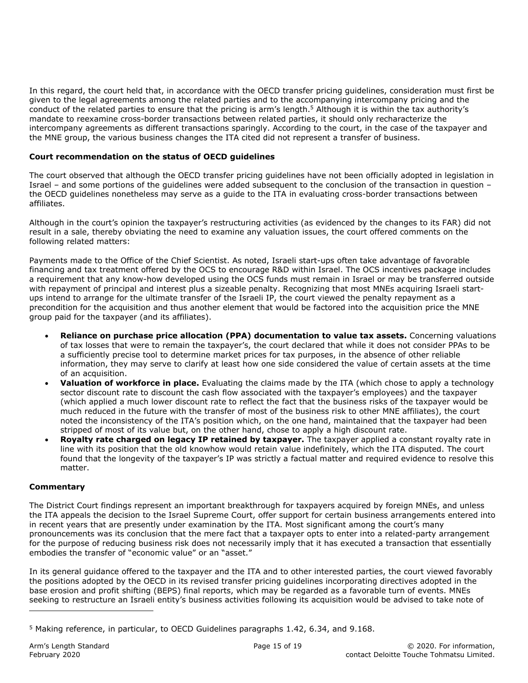In this regard, the court held that, in accordance with the OECD transfer pricing guidelines, consideration must first be given to the legal agreements among the related parties and to the accompanying intercompany pricing and the conduct of the related parties to ensure that the pricing is arm's length.<sup>5</sup> Although it is within the tax authority's mandate to reexamine cross-border transactions between related parties, it should only recharacterize the intercompany agreements as different transactions sparingly. According to the court, in the case of the taxpayer and the MNE group, the various business changes the ITA cited did not represent a transfer of business.

#### **Court recommendation on the status of OECD guidelines**

The court observed that although the OECD transfer pricing guidelines have not been officially adopted in legislation in Israel – and some portions of the guidelines were added subsequent to the conclusion of the transaction in question – the OECD guidelines nonetheless may serve as a guide to the ITA in evaluating cross-border transactions between affiliates.

Although in the court's opinion the taxpayer's restructuring activities (as evidenced by the changes to its FAR) did not result in a sale, thereby obviating the need to examine any valuation issues, the court offered comments on the following related matters:

Payments made to the Office of the Chief Scientist. As noted, Israeli start-ups often take advantage of favorable financing and tax treatment offered by the OCS to encourage R&D within Israel. The OCS incentives package includes a requirement that any know-how developed using the OCS funds must remain in Israel or may be transferred outside with repayment of principal and interest plus a sizeable penalty. Recognizing that most MNEs acquiring Israeli startups intend to arrange for the ultimate transfer of the Israeli IP, the court viewed the penalty repayment as a precondition for the acquisition and thus another element that would be factored into the acquisition price the MNE group paid for the taxpayer (and its affiliates).

- **Reliance on purchase price allocation (PPA) documentation to value tax assets.** Concerning valuations of tax losses that were to remain the taxpayer's, the court declared that while it does not consider PPAs to be a sufficiently precise tool to determine market prices for tax purposes, in the absence of other reliable information, they may serve to clarify at least how one side considered the value of certain assets at the time of an acquisition.
- **Valuation of workforce in place.** Evaluating the claims made by the ITA (which chose to apply a technology sector discount rate to discount the cash flow associated with the taxpayer's employees) and the taxpayer (which applied a much lower discount rate to reflect the fact that the business risks of the taxpayer would be much reduced in the future with the transfer of most of the business risk to other MNE affiliates), the court noted the inconsistency of the ITA's position which, on the one hand, maintained that the taxpayer had been stripped of most of its value but, on the other hand, chose to apply a high discount rate.
- **Royalty rate charged on legacy IP retained by taxpayer.** The taxpayer applied a constant royalty rate in line with its position that the old knowhow would retain value indefinitely, which the ITA disputed. The court found that the longevity of the taxpayer's IP was strictly a factual matter and required evidence to resolve this matter.

#### **Commentary**

The District Court findings represent an important breakthrough for taxpayers acquired by foreign MNEs, and unless the ITA appeals the decision to the Israel Supreme Court, offer support for certain business arrangements entered into in recent years that are presently under examination by the ITA. Most significant among the court's many pronouncements was its conclusion that the mere fact that a taxpayer opts to enter into a related-party arrangement for the purpose of reducing business risk does not necessarily imply that it has executed a transaction that essentially embodies the transfer of "economic value" or an "asset."

In its general guidance offered to the taxpayer and the ITA and to other interested parties, the court viewed favorably the positions adopted by the OECD in its revised transfer pricing guidelines incorporating directives adopted in the base erosion and profit shifting (BEPS) final reports, which may be regarded as a favorable turn of events. MNEs seeking to restructure an Israeli entity's business activities following its acquisition would be advised to take note of

ı

<sup>5</sup> Making reference, in particular, to OECD Guidelines paragraphs 1.42, 6.34, and 9.168.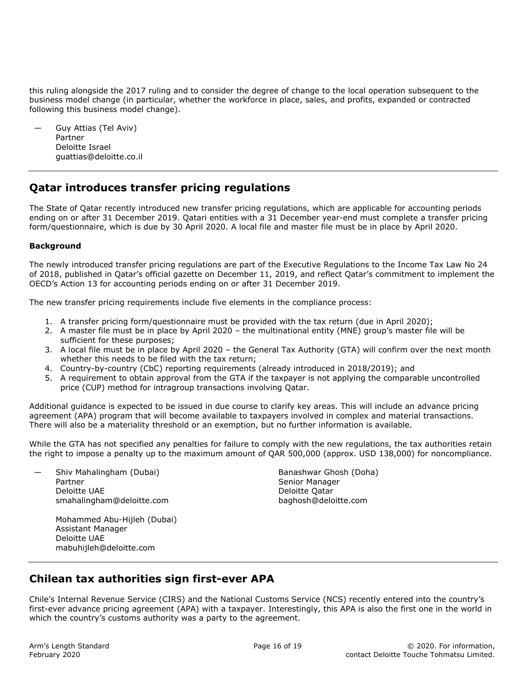this ruling alongside the 2017 ruling and to consider the degree of change to the local operation subsequent to the business model change (in particular, whether the workforce in place, sales, and profits, expanded or contracted following this business model change).

— Guy Attias (Tel Aviv) Partner Deloitte Israel guattias@deloitte.co.il

# **Qatar introduces transfer pricing regulations**

The State of Qatar recently introduced new transfer pricing regulations, which are applicable for accounting periods ending on or after 31 December 2019. Qatari entities with a 31 December year-end must complete a transfer pricing form/questionnaire, which is due by 30 April 2020. A local file and master file must be in place by April 2020.

## **Background**

The newly introduced transfer pricing regulations are part of the Executive Regulations to the Income Tax Law No 24 of 2018, published in Qatar's official gazette on December 11, 2019, and reflect Qatar's commitment to implement the OECD's Action 13 for accounting periods ending on or after 31 December 2019.

The new transfer pricing requirements include five elements in the compliance process:

- 1. A transfer pricing form/questionnaire must be provided with the tax return (due in April 2020);
- 2. A master file must be in place by April 2020 the multinational entity (MNE) group's master file will be sufficient for these purposes;
- 3. A local file must be in place by April 2020 the General Tax Authority (GTA) will confirm over the next month whether this needs to be filed with the tax return;
- 4. Country-by-country (CbC) reporting requirements (already introduced in 2018/2019); and
- 5. A requirement to obtain approval from the GTA if the taxpayer is not applying the comparable uncontrolled price (CUP) method for intragroup transactions involving Qatar.

Additional guidance is expected to be issued in due course to clarify key areas. This will include an advance pricing agreement (APA) program that will become available to taxpayers involved in complex and material transactions. There will also be a materiality threshold or an exemption, but no further information is available.

While the GTA has not specified any penalties for failure to comply with the new regulations, the tax authorities retain the right to impose a penalty up to the maximum amount of QAR 500,000 (approx. USD 138,000) for noncompliance.

— Shiv Mahalingham (Dubai) Partner Deloitte UAE smahalingham@deloitte.com Banashwar Ghosh (Doha) Senior Manager Deloitte Qatar baghosh@deloitte.com

 Mohammed Abu-Hijleh (Dubai) Assistant Manager Deloitte UAE mabuhijleh@deloitte.com

# **Chilean tax authorities sign first-ever APA**

Chile's Internal Revenue Service (CIRS) and the National Customs Service (NCS) recently entered into the country's first-ever advance pricing agreement (APA) with a taxpayer. Interestingly, this APA is also the first one in the world in which the country's customs authority was a party to the agreement.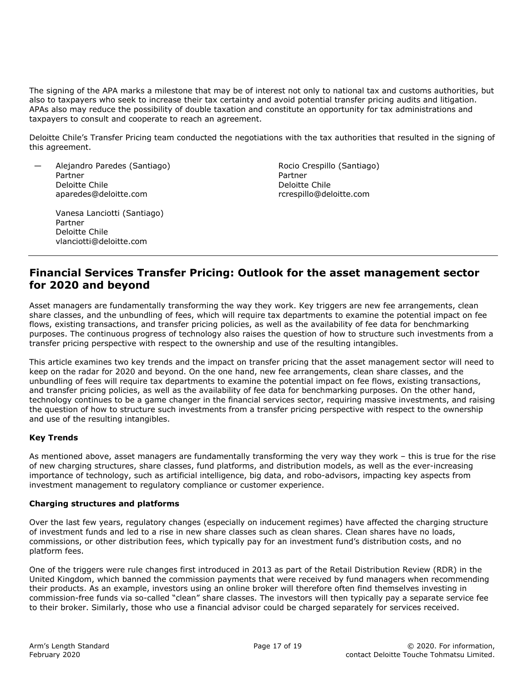The signing of the APA marks a milestone that may be of interest not only to national tax and customs authorities, but also to taxpayers who seek to increase their tax certainty and avoid potential transfer pricing audits and litigation. APAs also may reduce the possibility of double taxation and constitute an opportunity for tax administrations and taxpayers to consult and cooperate to reach an agreement.

Deloitte Chile's Transfer Pricing team conducted the negotiations with the tax authorities that resulted in the signing of this agreement.

— Alejandro Paredes (Santiago) Partner Deloitte Chile aparedes@deloitte.com

> Vanesa Lanciotti (Santiago) Partner Deloitte Chile vlanciotti@deloitte.com

Rocio Crespillo (Santiago) Partner Deloitte Chile rcrespillo@deloitte.com

# **Financial Services Transfer Pricing: Outlook for the asset management sector for 2020 and beyond**

Asset managers are fundamentally transforming the way they work. Key triggers are new fee arrangements, clean share classes, and the unbundling of fees, which will require tax departments to examine the potential impact on fee flows, existing transactions, and transfer pricing policies, as well as the availability of fee data for benchmarking purposes. The continuous progress of technology also raises the question of how to structure such investments from a transfer pricing perspective with respect to the ownership and use of the resulting intangibles.

This article examines two key trends and the impact on transfer pricing that the asset management sector will need to keep on the radar for 2020 and beyond. On the one hand, new fee arrangements, clean share classes, and the unbundling of fees will require tax departments to examine the potential impact on fee flows, existing transactions, and transfer pricing policies, as well as the availability of fee data for benchmarking purposes. On the other hand, technology continues to be a game changer in the financial services sector, requiring massive investments, and raising the question of how to structure such investments from a transfer pricing perspective with respect to the ownership and use of the resulting intangibles.

#### **Key Trends**

As mentioned above, asset managers are fundamentally transforming the very way they work – this is true for the rise of new charging structures, share classes, fund platforms, and distribution models, as well as the ever-increasing importance of technology, such as artificial intelligence, big data, and robo-advisors, impacting key aspects from investment management to regulatory compliance or customer experience.

#### **Charging structures and platforms**

Over the last few years, regulatory changes (especially on inducement regimes) have affected the charging structure of investment funds and led to a rise in new share classes such as clean shares. Clean shares have no loads, commissions, or other distribution fees, which typically pay for an investment fund's distribution costs, and no platform fees.

One of the triggers were rule changes first introduced in 2013 as part of the Retail Distribution Review (RDR) in the United Kingdom, which banned the commission payments that were received by fund managers when recommending their products. As an example, investors using an online broker will therefore often find themselves investing in commission-free funds via so-called "clean" share classes. The investors will then typically pay a separate service fee to their broker. Similarly, those who use a financial advisor could be charged separately for services received.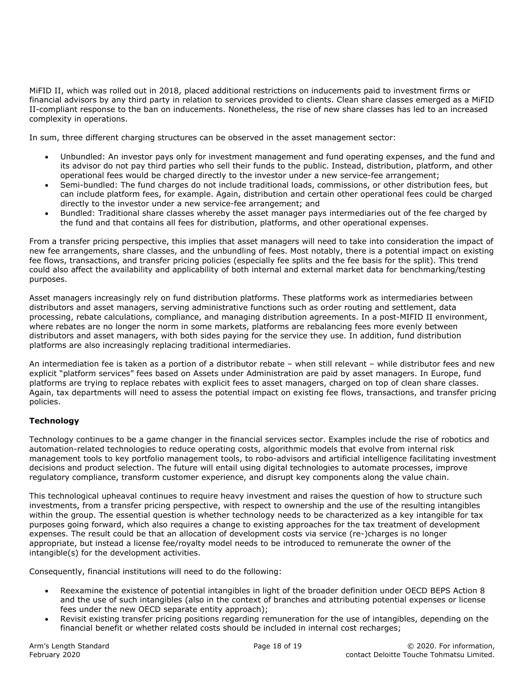MiFID II, which was rolled out in 2018, placed additional restrictions on inducements paid to investment firms or financial advisors by any third party in relation to services provided to clients. Clean share classes emerged as a MiFID II-compliant response to the ban on inducements. Nonetheless, the rise of new share classes has led to an increased complexity in operations.

In sum, three different charging structures can be observed in the asset management sector:

- Unbundled: An investor pays only for investment management and fund operating expenses, and the fund and its advisor do not pay third parties who sell their funds to the public. Instead, distribution, platform, and other operational fees would be charged directly to the investor under a new service-fee arrangement;
- Semi-bundled: The fund charges do not include traditional loads, commissions, or other distribution fees, but can include platform fees, for example. Again, distribution and certain other operational fees could be charged directly to the investor under a new service-fee arrangement; and
- Bundled: Traditional share classes whereby the asset manager pays intermediaries out of the fee charged by the fund and that contains all fees for distribution, platforms, and other operational expenses.

From a transfer pricing perspective, this implies that asset managers will need to take into consideration the impact of new fee arrangements, share classes, and the unbundling of fees. Most notably, there is a potential impact on existing fee flows, transactions, and transfer pricing policies (especially fee splits and the fee basis for the split). This trend could also affect the availability and applicability of both internal and external market data for benchmarking/testing purposes.

Asset managers increasingly rely on fund distribution platforms. These platforms work as intermediaries between distributors and asset managers, serving administrative functions such as order routing and settlement, data processing, rebate calculations, compliance, and managing distribution agreements. In a post-MIFID II environment, where rebates are no longer the norm in some markets, platforms are rebalancing fees more evenly between distributors and asset managers, with both sides paying for the service they use. In addition, fund distribution platforms are also increasingly replacing traditional intermediaries.

An intermediation fee is taken as a portion of a distributor rebate – when still relevant – while distributor fees and new explicit "platform services" fees based on Assets under Administration are paid by asset managers. In Europe, fund platforms are trying to replace rebates with explicit fees to asset managers, charged on top of clean share classes. Again, tax departments will need to assess the potential impact on existing fee flows, transactions, and transfer pricing policies.

#### **Technology**

Technology continues to be a game changer in the financial services sector. Examples include the rise of robotics and automation-related technologies to reduce operating costs, algorithmic models that evolve from internal risk management tools to key portfolio management tools, to robo-advisors and artificial intelligence facilitating investment decisions and product selection. The future will entail using digital technologies to automate processes, improve regulatory compliance, transform customer experience, and disrupt key components along the value chain.

This technological upheaval continues to require heavy investment and raises the question of how to structure such investments, from a transfer pricing perspective, with respect to ownership and the use of the resulting intangibles within the group. The essential question is whether technology needs to be characterized as a key intangible for tax purposes going forward, which also requires a change to existing approaches for the tax treatment of development expenses. The result could be that an allocation of development costs via service (re-)charges is no longer appropriate, but instead a license fee/royalty model needs to be introduced to remunerate the owner of the intangible(s) for the development activities.

Consequently, financial institutions will need to do the following:

- Reexamine the existence of potential intangibles in light of the broader definition under OECD BEPS Action 8 and the use of such intangibles (also in the context of branches and attributing potential expenses or license fees under the new OECD separate entity approach);
- Revisit existing transfer pricing positions regarding remuneration for the use of intangibles, depending on the financial benefit or whether related costs should be included in internal cost recharges;